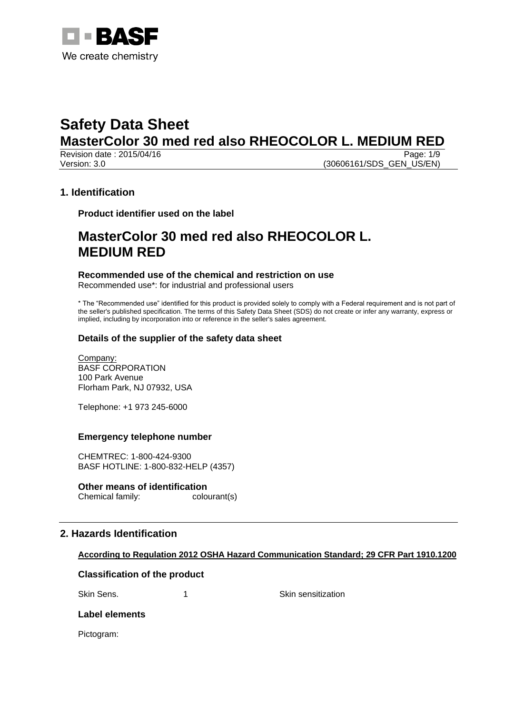

Revision date : 2015/04/16 Page: 1/9 Version: 3.0 (30606161/SDS GEN US/EN)

# **1. Identification**

**Product identifier used on the label**

# **MasterColor 30 med red also RHEOCOLOR L. MEDIUM RED**

# **Recommended use of the chemical and restriction on use**

Recommended use\*: for industrial and professional users

\* The "Recommended use" identified for this product is provided solely to comply with a Federal requirement and is not part of the seller's published specification. The terms of this Safety Data Sheet (SDS) do not create or infer any warranty, express or implied, including by incorporation into or reference in the seller's sales agreement.

# **Details of the supplier of the safety data sheet**

Company: BASF CORPORATION 100 Park Avenue Florham Park, NJ 07932, USA

Telephone: +1 973 245-6000

## **Emergency telephone number**

CHEMTREC: 1-800-424-9300 BASF HOTLINE: 1-800-832-HELP (4357)

#### **Other means of identification**

Chemical family: colourant(s)

# **2. Hazards Identification**

## **According to Regulation 2012 OSHA Hazard Communication Standard; 29 CFR Part 1910.1200**

## **Classification of the product**

Skin Sens. 1 1 and 1 Skin sensitization

## **Label elements**

Pictogram: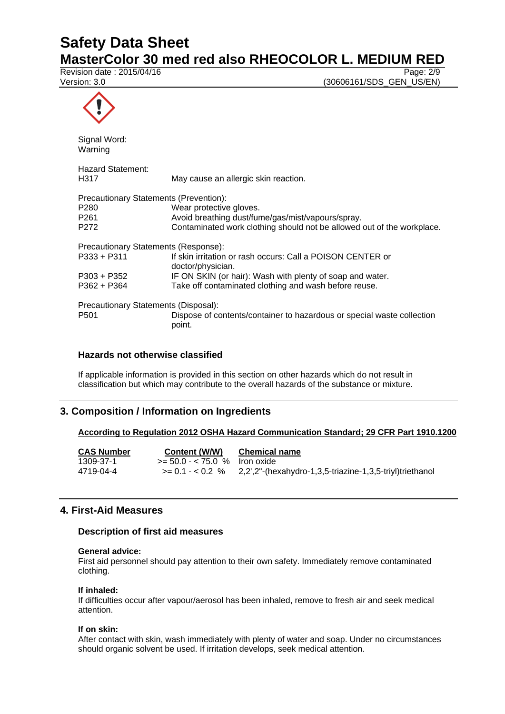# **Safety Data Sheet**

**MasterColor 30 med red also RHEOCOLOR L. MEDIUM RED**<br>Revision date : 2015/04/16

Revision date:  $2015/04/16$ 

Version: 3.0 **(30606161/SDS** GEN US/EN)

| Signal Word:<br>Warning                |                                                                                  |  |
|----------------------------------------|----------------------------------------------------------------------------------|--|
| Hazard Statement:<br>H317              | May cause an allergic skin reaction.                                             |  |
| Precautionary Statements (Prevention): |                                                                                  |  |
| P <sub>280</sub>                       | Wear protective gloves.                                                          |  |
| P <sub>261</sub>                       | Avoid breathing dust/fume/gas/mist/vapours/spray.                                |  |
| P <sub>272</sub>                       | Contaminated work clothing should not be allowed out of the workplace.           |  |
| Precautionary Statements (Response):   |                                                                                  |  |
| P333 + P311                            | If skin irritation or rash occurs: Call a POISON CENTER or<br>doctor/physician.  |  |
| P303 + P352                            | IF ON SKIN (or hair): Wash with plenty of soap and water.                        |  |
| $P362 + P364$                          | Take off contaminated clothing and wash before reuse.                            |  |
| Precautionary Statements (Disposal):   |                                                                                  |  |
| P <sub>501</sub>                       | Dispose of contents/container to hazardous or special waste collection<br>point. |  |

# **Hazards not otherwise classified**

If applicable information is provided in this section on other hazards which do not result in classification but which may contribute to the overall hazards of the substance or mixture.

# **3. Composition / Information on Ingredients**

# **According to Regulation 2012 OSHA Hazard Communication Standard; 29 CFR Part 1910.1200**

| <b>CAS Number</b> | Content (W/W)                   | <b>Chemical name</b>                                     |
|-------------------|---------------------------------|----------------------------------------------------------|
| 1309-37-1         | $>= 50.0 - < 75.0$ % Iron oxide |                                                          |
| 4719-04-4         | $>= 0.1 - 0.2$ %                | 2,2',2"-(hexahydro-1,3,5-triazine-1,3,5-triyl)triethanol |

# **4. First-Aid Measures**

# **Description of first aid measures**

#### **General advice:**

First aid personnel should pay attention to their own safety. Immediately remove contaminated clothing.

#### **If inhaled:**

If difficulties occur after vapour/aerosol has been inhaled, remove to fresh air and seek medical attention.

#### **If on skin:**

After contact with skin, wash immediately with plenty of water and soap. Under no circumstances should organic solvent be used. If irritation develops, seek medical attention.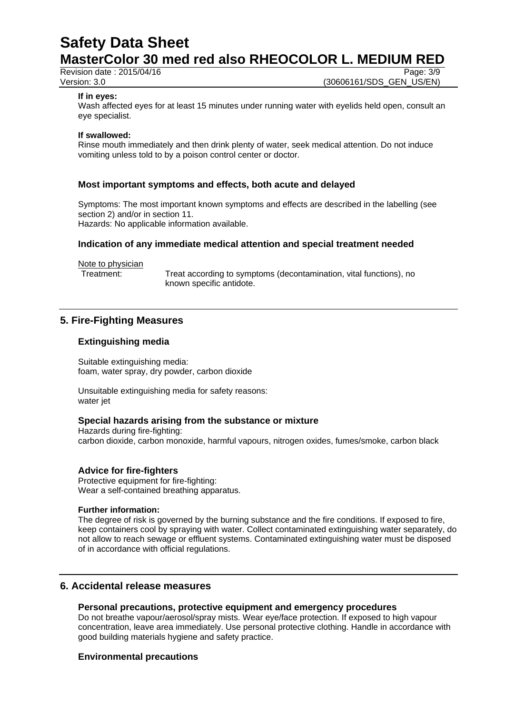# **Safety Data Sheet MasterColor 30 med red also RHEOCOLOR L. MEDIUM RED**<br>Revision date : 2015/04/16

Revision date  $: 2015/04/16$ 

Version: 3.0 **(30606161/SDS\_GEN\_US/EN)** 

#### **If in eyes:**

Wash affected eyes for at least 15 minutes under running water with eyelids held open, consult an eye specialist.

#### **If swallowed:**

Rinse mouth immediately and then drink plenty of water, seek medical attention. Do not induce vomiting unless told to by a poison control center or doctor.

#### **Most important symptoms and effects, both acute and delayed**

Symptoms: The most important known symptoms and effects are described in the labelling (see section 2) and/or in section 11. Hazards: No applicable information available.

#### **Indication of any immediate medical attention and special treatment needed**

Note to physician

Treatment: Treat according to symptoms (decontamination, vital functions), no known specific antidote.

# **5. Fire-Fighting Measures**

#### **Extinguishing media**

Suitable extinguishing media: foam, water spray, dry powder, carbon dioxide

Unsuitable extinguishing media for safety reasons: water jet

#### **Special hazards arising from the substance or mixture**

Hazards during fire-fighting: carbon dioxide, carbon monoxide, harmful vapours, nitrogen oxides, fumes/smoke, carbon black

#### **Advice for fire-fighters**

Protective equipment for fire-fighting: Wear a self-contained breathing apparatus.

#### **Further information:**

The degree of risk is governed by the burning substance and the fire conditions. If exposed to fire, keep containers cool by spraying with water. Collect contaminated extinguishing water separately, do not allow to reach sewage or effluent systems. Contaminated extinguishing water must be disposed of in accordance with official regulations.

#### **6. Accidental release measures**

#### **Personal precautions, protective equipment and emergency procedures**

Do not breathe vapour/aerosol/spray mists. Wear eye/face protection. If exposed to high vapour concentration, leave area immediately. Use personal protective clothing. Handle in accordance with good building materials hygiene and safety practice.

#### **Environmental precautions**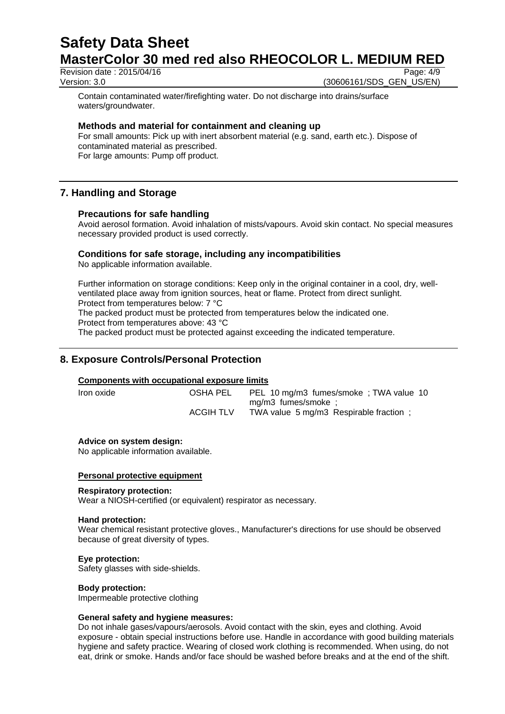Revision date : 2015/04/16 Page: 4/9

Version: 3.0 **(30606161/SDS\_GEN\_US/EN)** 

Contain contaminated water/firefighting water. Do not discharge into drains/surface waters/groundwater.

#### **Methods and material for containment and cleaning up**

For small amounts: Pick up with inert absorbent material (e.g. sand, earth etc.). Dispose of contaminated material as prescribed. For large amounts: Pump off product.

# **7. Handling and Storage**

#### **Precautions for safe handling**

Avoid aerosol formation. Avoid inhalation of mists/vapours. Avoid skin contact. No special measures necessary provided product is used correctly.

#### **Conditions for safe storage, including any incompatibilities**

No applicable information available.

Further information on storage conditions: Keep only in the original container in a cool, dry, wellventilated place away from ignition sources, heat or flame. Protect from direct sunlight. Protect from temperatures below: 7 °C

The packed product must be protected from temperatures below the indicated one.

Protect from temperatures above: 43 °C

The packed product must be protected against exceeding the indicated temperature.

# **8. Exposure Controls/Personal Protection**

#### **Components with occupational exposure limits**

Iron oxide OSHA PEL PEL 10 mg/m3 fumes/smoke ; TWA value 10 mg/m3 fumes/smoke ; ACGIH TLV TWA value 5 mg/m3 Respirable fraction;

#### **Advice on system design:**

No applicable information available.

#### **Personal protective equipment**

#### **Respiratory protection:**

Wear a NIOSH-certified (or equivalent) respirator as necessary.

#### **Hand protection:**

Wear chemical resistant protective gloves., Manufacturer's directions for use should be observed because of great diversity of types.

#### **Eye protection:**

Safety glasses with side-shields.

#### **Body protection:**

Impermeable protective clothing

#### **General safety and hygiene measures:**

Do not inhale gases/vapours/aerosols. Avoid contact with the skin, eyes and clothing. Avoid exposure - obtain special instructions before use. Handle in accordance with good building materials hygiene and safety practice. Wearing of closed work clothing is recommended. When using, do not eat, drink or smoke. Hands and/or face should be washed before breaks and at the end of the shift.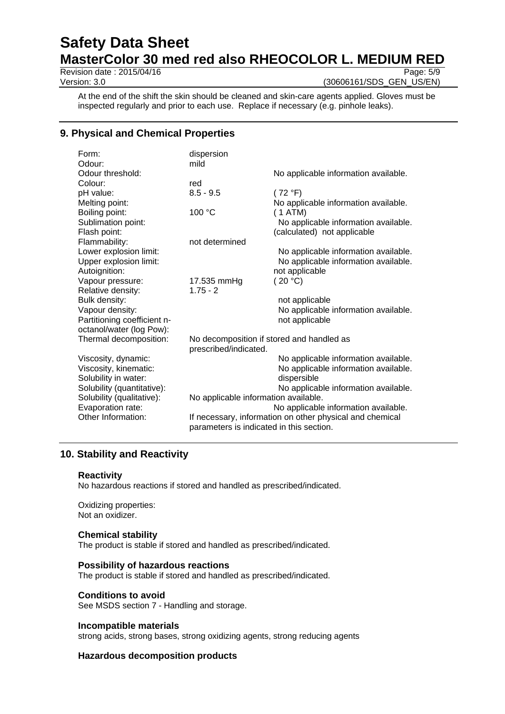# **Safety Data Sheet MasterColor 30 med red also RHEOCOLOR L. MEDIUM RED**<br>Revision date : 2015/04/16

Revision date:  $2015/04/16$ Version: 3.0 **(30606161/SDS** GEN US/EN)

At the end of the shift the skin should be cleaned and skin-care agents applied. Gloves must be inspected regularly and prior to each use. Replace if necessary (e.g. pinhole leaks).

# **9. Physical and Chemical Properties**

| Form:                       | dispersion                                               |                                      |  |
|-----------------------------|----------------------------------------------------------|--------------------------------------|--|
| Odour:                      | mild                                                     |                                      |  |
| Odour threshold:            |                                                          | No applicable information available. |  |
| Colour:                     | red                                                      |                                      |  |
| pH value:                   | $8.5 - 9.5$                                              | (72 °F)                              |  |
| Melting point:              |                                                          | No applicable information available. |  |
| Boiling point:              | 100 °C                                                   | (1 ATM)                              |  |
| Sublimation point:          |                                                          | No applicable information available. |  |
| Flash point:                |                                                          | (calculated) not applicable          |  |
| Flammability:               | not determined                                           |                                      |  |
| Lower explosion limit:      |                                                          | No applicable information available. |  |
| Upper explosion limit:      |                                                          | No applicable information available. |  |
| Autoignition:               |                                                          | not applicable                       |  |
| Vapour pressure:            | 17.535 mmHg                                              | (20 °C)                              |  |
| Relative density:           | $1.75 - 2$                                               |                                      |  |
| Bulk density:               |                                                          | not applicable                       |  |
| Vapour density:             |                                                          | No applicable information available. |  |
| Partitioning coefficient n- |                                                          | not applicable                       |  |
| octanol/water (log Pow):    |                                                          |                                      |  |
| Thermal decomposition:      | No decomposition if stored and handled as                |                                      |  |
|                             | prescribed/indicated.                                    |                                      |  |
| Viscosity, dynamic:         |                                                          | No applicable information available. |  |
| Viscosity, kinematic:       |                                                          | No applicable information available. |  |
| Solubility in water:        |                                                          | dispersible                          |  |
| Solubility (quantitative):  |                                                          | No applicable information available. |  |
| Solubility (qualitative):   | No applicable information available.                     |                                      |  |
| Evaporation rate:           | No applicable information available.                     |                                      |  |
| Other Information:          | If necessary, information on other physical and chemical |                                      |  |
|                             | parameters is indicated in this section.                 |                                      |  |

# **10. Stability and Reactivity**

#### **Reactivity**

No hazardous reactions if stored and handled as prescribed/indicated.

Oxidizing properties: Not an oxidizer.

#### **Chemical stability**

The product is stable if stored and handled as prescribed/indicated.

#### **Possibility of hazardous reactions**

The product is stable if stored and handled as prescribed/indicated.

#### **Conditions to avoid**

See MSDS section 7 - Handling and storage.

#### **Incompatible materials**

strong acids, strong bases, strong oxidizing agents, strong reducing agents

#### **Hazardous decomposition products**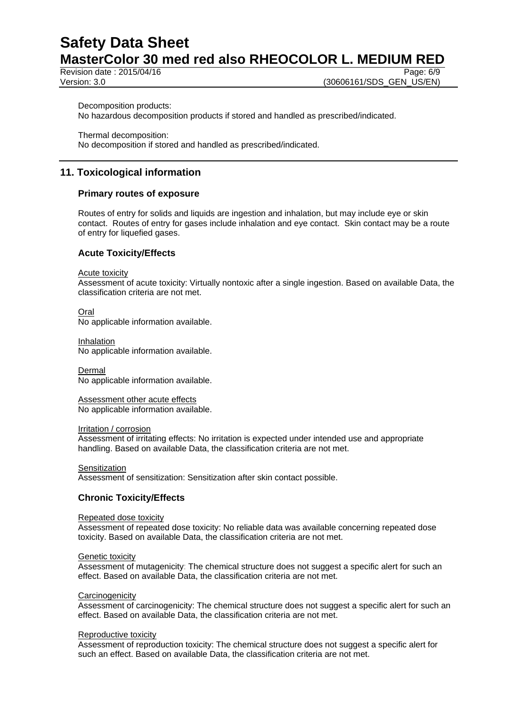Revision date : 2015/04/16 Page: 6/9

Version: 3.0 **(30606161/SDS\_GEN\_US/EN)** 

Decomposition products:

No hazardous decomposition products if stored and handled as prescribed/indicated.

Thermal decomposition: No decomposition if stored and handled as prescribed/indicated.

# **11. Toxicological information**

#### **Primary routes of exposure**

Routes of entry for solids and liquids are ingestion and inhalation, but may include eye or skin contact. Routes of entry for gases include inhalation and eye contact. Skin contact may be a route of entry for liquefied gases.

## **Acute Toxicity/Effects**

Acute toxicity

Assessment of acute toxicity: Virtually nontoxic after a single ingestion. Based on available Data, the classification criteria are not met.

Oral

No applicable information available.

Inhalation No applicable information available.

Dermal No applicable information available.

Assessment other acute effects No applicable information available.

Irritation / corrosion

Assessment of irritating effects: No irritation is expected under intended use and appropriate handling. Based on available Data, the classification criteria are not met.

**Sensitization** 

Assessment of sensitization: Sensitization after skin contact possible.

## **Chronic Toxicity/Effects**

#### Repeated dose toxicity

Assessment of repeated dose toxicity: No reliable data was available concerning repeated dose toxicity. Based on available Data, the classification criteria are not met.

#### Genetic toxicity

Assessment of mutagenicity: The chemical structure does not suggest a specific alert for such an effect. Based on available Data, the classification criteria are not met.

#### **Carcinogenicity**

Assessment of carcinogenicity: The chemical structure does not suggest a specific alert for such an effect. Based on available Data, the classification criteria are not met.

#### Reproductive toxicity

Assessment of reproduction toxicity: The chemical structure does not suggest a specific alert for such an effect. Based on available Data, the classification criteria are not met.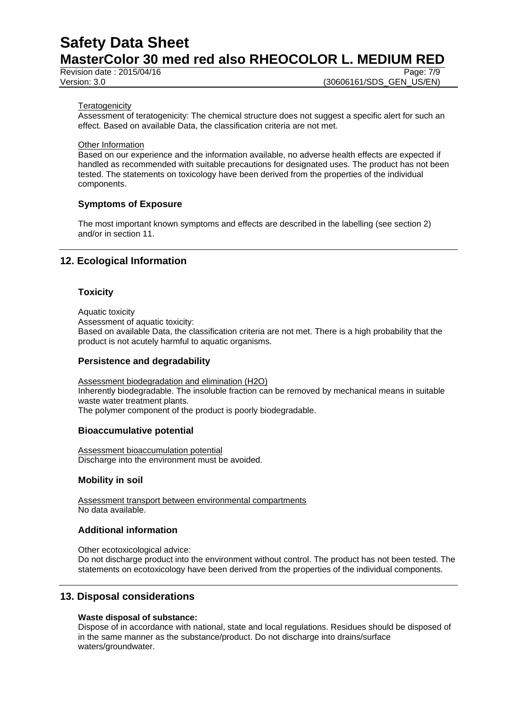Revision date : 2015/04/16 Page: 7/9

Version: 3.0 **(30606161/SDS\_GEN\_US/EN)** 

#### **Teratogenicity**

Assessment of teratogenicity: The chemical structure does not suggest a specific alert for such an effect. Based on available Data, the classification criteria are not met.

Other Information

Based on our experience and the information available, no adverse health effects are expected if handled as recommended with suitable precautions for designated uses. The product has not been tested. The statements on toxicology have been derived from the properties of the individual components.

## **Symptoms of Exposure**

The most important known symptoms and effects are described in the labelling (see section 2) and/or in section 11.

# **12. Ecological Information**

#### **Toxicity**

Aquatic toxicity

Assessment of aquatic toxicity:

Based on available Data, the classification criteria are not met. There is a high probability that the product is not acutely harmful to aquatic organisms.

#### **Persistence and degradability**

Assessment biodegradation and elimination (H2O) Inherently biodegradable. The insoluble fraction can be removed by mechanical means in suitable waste water treatment plants. The polymer component of the product is poorly biodegradable.

#### **Bioaccumulative potential**

Assessment bioaccumulation potential Discharge into the environment must be avoided.

#### **Mobility in soil**

Assessment transport between environmental compartments No data available.

## **Additional information**

Other ecotoxicological advice:

Do not discharge product into the environment without control. The product has not been tested. The statements on ecotoxicology have been derived from the properties of the individual components.

## **13. Disposal considerations**

#### **Waste disposal of substance:**

Dispose of in accordance with national, state and local regulations. Residues should be disposed of in the same manner as the substance/product. Do not discharge into drains/surface waters/groundwater.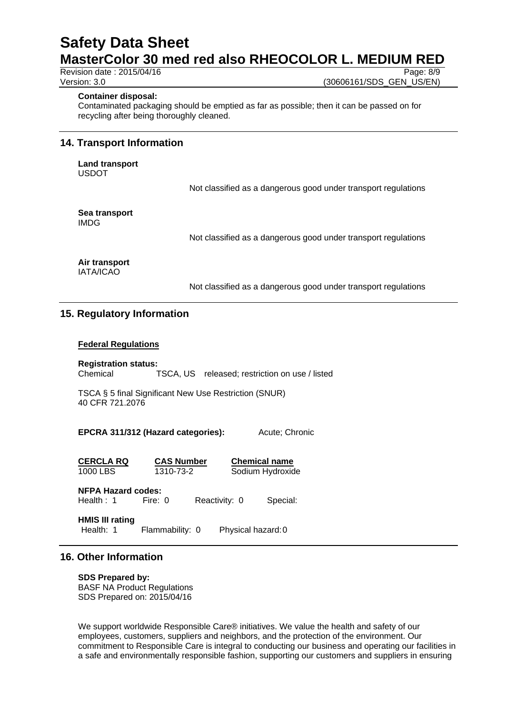Revision date : 2015/04/16 Page: 8/9

Version: 3.0 **(30606161/SDS** GEN US/EN)

#### **Container disposal:**

Contaminated packaging should be emptied as far as possible; then it can be passed on for recycling after being thoroughly cleaned.

#### **14. Transport Information**

**Land transport** USDOT

Not classified as a dangerous good under transport regulations

**Sea transport** IMDG

Not classified as a dangerous good under transport regulations

#### **Air transport** IATA/ICAO

Not classified as a dangerous good under transport regulations

# **15. Regulatory Information**

#### **Federal Regulations**

**Registration status:** Chemical TSCA, US released; restriction on use / listed

TSCA § 5 final Significant New Use Restriction (SNUR) 40 CFR 721.2076

**EPCRA 311/312 (Hazard categories):** Acute; Chronic

**CERCLA RQ CAS Number Chemical name** 1000 LBS 1310-73-2 Sodium Hydroxide

**NFPA Hazard codes:**

Health : 1 Fire: 0 Reactivity: 0 Special:

**HMIS III rating** Health: 1 Flammability: 0 Physical hazard: 0

# **16. Other Information**

**SDS Prepared by:**  BASF NA Product Regulations SDS Prepared on: 2015/04/16

We support worldwide Responsible Care® initiatives. We value the health and safety of our employees, customers, suppliers and neighbors, and the protection of the environment. Our commitment to Responsible Care is integral to conducting our business and operating our facilities in a safe and environmentally responsible fashion, supporting our customers and suppliers in ensuring